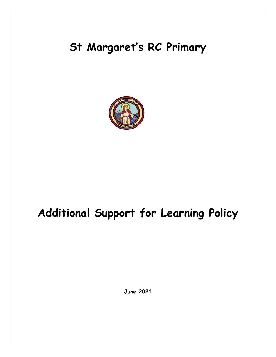# **St Margaret's RC Primary**



# **Additional Support for Learning Policy**

**June 2021**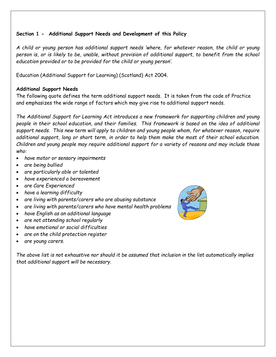#### **Section 1 - Additional Support Needs and Development of this Policy**

*A child or young person has additional support needs 'where, for whatever reason, the child or young person is, or is likely to be, unable, without provision of additional support, to benefit from the school education provided or to be provided for the child or young person'.*

Education (Additional Support for Learning) (Scotland) Act 2004.

#### **Additional Support Needs**

The following quote defines the term additional support needs. It is taken from the code of Practice and emphasizes the wide range of factors which may give rise to additional support needs.

*The Additional Support for Learning Act introduces a new framework for supporting children and young people in their school education, and their families. This framework is based on the idea of additional support needs. This new term will apply to children and young people whom, for whatever reason, require additional support, long or short term, in order to help them make the most of their school education. Children and young people may require additional support for a variety of reasons and may include those who:*

- *have motor or sensory impairments*
- *are being bullied*
- *are particularly able or talented*
- *have experienced a bereavement*
- *are Care Experienced*
- *have a learning difficulty*
- *are living with parents/carers who are abusing substance*
- *are living with parents/carers who have mental health problems*
- *have English as an additional language*
- *are not attending school regularly*
- *have emotional or social difficulties*
- *are on the child protection register*
- *are young carers.*

*The above list is not exhaustive nor should it be assumed that inclusion in the list automatically implies that additional support will be necessary.*

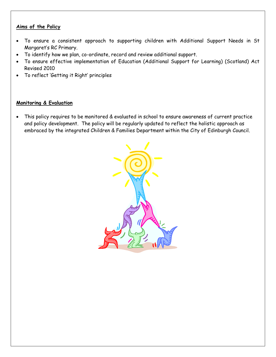#### **Aims of the Policy**

- To ensure a consistent approach to supporting children with Additional Support Needs in St Margaret's RC Primary.
- To identify how we plan, co-ordinate, record and review additional support.
- To ensure effective implementation of Education (Additional Support for Learning) (Scotland) Act Revised 2010
- To reflect 'Getting it Right' principles

#### **Monitoring & Evaluation**

• This policy requires to be monitored & evaluated in school to ensure awareness of current practice and policy development. The policy will be regularly updated to reflect the holistic approach as embraced by the integrated Children & Families Department within the City of Edinburgh Council.

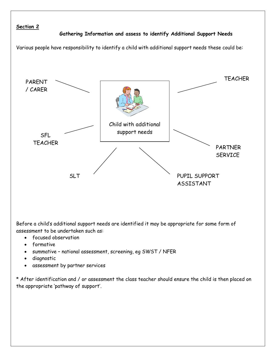

Before a child's additional support needs are identified it may be appropriate for some form of assessment to be undertaken such as:

- focused observation
- formative
- summative national assessment, screening, eg SWST / NFER
- diagnostic
- assessment by partner services

\* After identification and / or assessment the class teacher should ensure the child is then placed on the appropriate 'pathway of support'.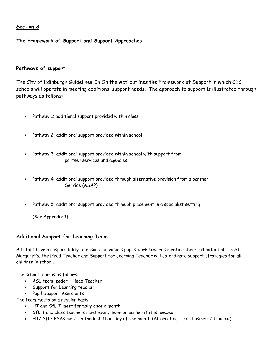#### **Section 3**

#### **The Framework of Support and Support Approaches**

#### **Pathways of support**

The City of Edinburgh Guidelines 'In On the Act' outlines the Framework of Support in which CEC schools will operate in meeting additional support needs. The approach to support is illustrated through pathways as follows:

- Pathway 1: additional support provided within class
- Pathway 2: additional support provided within school
- Pathway 3: additional support provided within school with support from partner services and agencies
- Pathway 4: additional support provided through alternative provision from a partner Service (ASAP)
- Pathway 5: additional support provided through placement in a specialist setting

(See Appendix 1)

#### **Additional Support for Learning Team**

All staff have a responsibility to ensure individuals pupils work towards meeting their full potential. In St Margaret's, the Head Teacher and Support for Learning Teacher will co-ordinate support strategies for all children in school.

The school team is as follows:

- ASL team leader Head Teacher
- Support for Learning teacher
- Pupil Support Assistants

The team meets on a regular basis.

- HT and SfL T meet formally once a month
- SfL T and class teachers meet every term or earlier if it is needed.
- HT/ SfL/ PSAs meet on the last Thursday of the month (Alternating focus business/ training)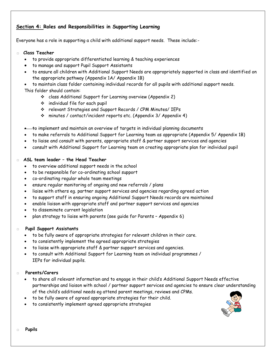#### **Section 4: Roles and Responsibilities in Supporting Learning**

Everyone has a role in supporting a child with additional support needs. These include:-

#### **□ Class Teacher**

- to provide appropriate differentiated learning & teaching experiences
- to manage and support Pupil Support Assistants
- to ensure all children with Additional Support Needs are appropriately supported in class and identified on the appropriate pathway (Appendix 1A/ Appendix 1B)
- to maintain class folder containing individual records for all pupils with additional support needs. This folder should contain:
	- ❖ class Additional Support for Learning overview (Appendix 2)
	- ❖ individual file for each pupil
	- ❖ relevant Strategies and Support Records / CPM Minutes/ IEPs
	- ❖ minutes / contact/incident reports etc. (Appendix 3/ Appendix 4)
- $-$ to implement and maintain an overview of targets in individual planning documents
- to make referrals to Additional Support for Learning team as appropriate (Appendix 5/ Appendix 1B)
- to liaise and consult with parents, appropriate staff & partner support services and agencies
- consult with Additional Support for Learning team on creating appropriate plan for individual pupil

#### **□ ASL team leader – the Head Teacher**

- to overview additional support needs in the school
- to be responsible for co-ordinating school support
- co-ordinating regular whole team meetings
- ensure regular monitoring of ongoing and new referrals / plans
- liaise with others eg. partner support services and agencies regarding agreed action
- to support staff in ensuring ongoing Additional Support Needs records are maintained
- enable liaison with appropriate staff and partner support services and agencies
- to disseminate current legislation
- plan strategy to liaise with parents (see guide for Parents Appendix 6)

#### **□ Pupil Support Assistants**

- to be fully aware of appropriate strategies for relevant children in their care.
- to consistently implement the agreed appropriate strategies
- to liaise with appropriate staff & partner support services and agencies.
- to consult with Additional Support for Learning team on individual programmes / IEPs for individual pupils.

#### **□ Parents/Carers**

- to share all relevant information and to engage in their child's Additional Support Needs effective partnerships and liaison with school / partner support services and agencies to ensure clear understanding of the child's additional needs eg attend parent meetings, reviews and CPMs.
- to be fully aware of agreed appropriate strategies for their child.
- to consistently implement agreed appropriate strategies

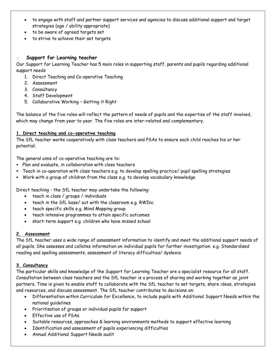- to engage with staff and partner support services and agencies to discuss additional support and target strategies (age / ability appropriate)
- to be aware of agreed targets set
- to strive to achieve their set targets

#### **□ Support for Learning teacher**

Our Support for Learning Teacher has 5 main roles in supporting staff, parents and pupils regarding additional support needs

- 1. Direct Teaching and Co-operative Teaching
- 2. Assessment
- 3. Consultancy
- 4. Staff Development
- 5. Collaborative Working Getting it Right

The balance of the five roles will reflect the pattern of needs of pupils and the expertise of the staff involved, which may change from year to year. The five roles are inter-related and complementary.

#### **1. Direct teaching and co-operative teaching**

The SfL teacher works cooperatively with class teachers and PSAs to ensure each child reaches his or her potential.

The general aims of co-operative teaching are to:

- Plan and evaluate, in collaboration with class teachers
- Teach in co-operation with class teachers e.g. to develop spelling practice/ pupil spelling strategies
- Work with a group of children from the class e.g. to develop vocabulary knowledge

Direct teaching - the SfL teacher may undertake the following:

- teach in class / groups / individuals
- teach in the SfL base/ out with the classroom e.g. RWInc
- teach specific skills e.g. Mind Mapping group
- teach intensive programmes to attain specific outcomes
- short-term support e.g. children who have missed school

#### **2. Assessment**

The SfL teacher uses a wide range of assessment information to identify and meet the additional support needs of all pupils. She assesses and collates information on individual pupils for further investigation. e.g. Standardised reading and spelling assessments, assessment of literacy difficulties/ dyslexia

#### **3. Consultancy**

The particular skills and knowledge of the Support for Learning Teacher are a specialist resource for all staff. Consultation between class teachers and the SfL teacher is a process of sharing and working together as joint partners. Time is given to enable staff to collaborate with the SfL teacher to set targets, share ideas, strategies and resources, and discuss assessment. The SfL teacher contributes to decisions on:

- Differentiation within Curriculum for Excellence, to include pupils with Additional Support Needs within the national guidelines
- Prioritisation of groups or individual pupils for support
- Effective use of PSAs
- Suitable resources, approaches & learning environments methods to support effective learning
- Identification and assessment of pupils experiencing difficulties
- Annual Additional Support Needs audit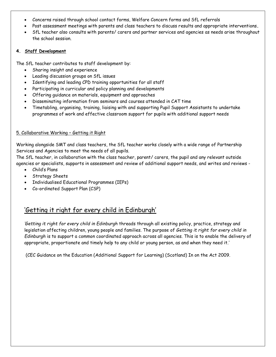- Concerns raised through school contact forms, Welfare Concern forms and SfL referrals
- Post assessment meetings with parents and class teachers to discuss results and appropriate interventions**.**
- SfL teacher also consults with parents/ carers and partner services and agencies as needs arise throughout the school session.

#### **4. Staff Development**

The SfL teacher contributes to staff development by:

- Sharing insight and experience
- Leading discussion groups on SfL issues
- Identifying and leading CPD training opportunities for all staff
- Participating in curricular and policy planning and developments
- Offering guidance on materials, equipment and approaches
- Disseminating information from seminars and courses attended in CAT time
- Timetabling, organising, training, liaising with and supporting Pupil Support Assistants to undertake programmes of work and effective classroom support for pupils with additional support needs

#### 5. Collaborative Working – Getting it Right

Working alongside SMT and class teachers, the SfL teacher works closely with a wide range of Partnership Services and Agencies to meet the needs of all pupils.

The SfL teacher, in collaboration with the class teacher, parent/ carers, the pupil and any relevant outside agencies or specialists, supports in assessment and review of additional support needs, and writes and reviews -

- Child's Plans
- Strategy Sheets
- Individualised Educational Programmes (IEPs)
- Co-ordinated Support Plan (CSP)

### 'Getting it right for every child in Edinburgh'

*'Getting it right for every child in Edinburgh* threads through all existing policy, practice, strategy and legislation affecting children, young people and families. The purpose of *Getting it right for every child in Edinburgh* is to support a common coordinated approach across all agencies. This is to enable the delivery of appropriate, proportionate and timely help to any child or young person, as and when they need it.'

(CEC Guidance on the Education (Additional Support for Learning) (Scotland) In on the Act 2009.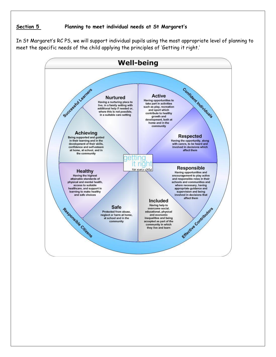#### **Section 5 Planning to meet individual needs at St Margaret's**

In St Margaret's RC PS, we will support individual pupils using the most appropriate level of planning to meet the specific needs of the child applying the principles of 'Getting it right.'

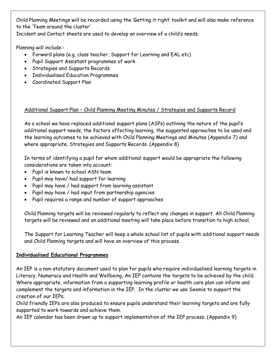Child Planning Meetings will be recorded using the 'Getting it right' toolkit and will also make reference to the 'Team around the cluster'

Incident and Contact sheets are used to develop an overview of a child's needs.

Planning will include:-

- Forward plans (e.g. class teacher, Support for Learning and EAL etc)
- Pupil Support Assistant programmes of work
- Strategies and Supports Records
- Individualised Education Programmes
- Coordinated Support Plan

#### Additional Support Plan – Child Planning Meeting Minutes / Strategies and Supports Record

As a school we have replaced additional support plans (ASPs) outlining the nature of the pupil's additional support needs, the factors affecting learning, the suggested approaches to be used and the learning outcomes to be achieved with Child Planning Meetings and Minutes (Appendix 7) and where appropriate, Strategies and Supports Records. (Appendix 8)

In terms of identifying a pupil for whom additional support would be appropriate the following considerations are taken into account:

- Pupil is known to school ASN team
- Pupil may have/ had support for learning
- Pupil may have / had support from learning assistant
- Pupil may have / had input from partnership agencies
- Pupil requires a range and number of support approaches

Child Planning targets will be reviewed regularly to reflect any changes in support. All Child Planning targets will be reviewed and an additional meeting will take place before transition to high school.

The Support for Learning Teacher will keep a whole school list of pupils with additional support needs and Child Planning targets and will have an overview of this process.

#### **Individualised Educational Programmes**

An IEP is a non-statutory document used to plan for pupils who require individualised learning targets in Literacy, Numeracy and Health and Wellbeing. An IEP contains the targets to be achieved by the child. Where appropriate, information from a supporting learning profile or health care plan can inform and complement the targets and information in the IEP. In the cluster we use Seemis to support the creation of our IEPs.

Child friendly IEPs are also produced to ensure pupils understand their learning targets and are fully supported to work towards and achieve them.

An IEP calendar has been drawn up to support implementation of the IEP process. (Appendix 9)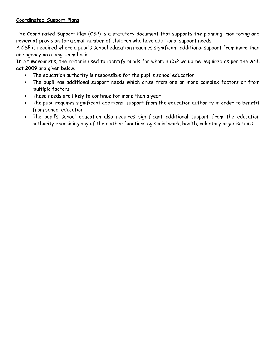#### **Coordinated Support Plans**

The Coordinated Support Plan (CSP) is a statutory document that supports the planning, monitoring and review of provision for a small number of children who have additional support needs

A CSP is required where a pupil's school education requires significant additional support from more than one agency on a long term basis.

In St Margaret's, the criteria used to identify pupils for whom a CSP would be required as per the ASL act 2009 are given below.

- The education authority is responsible for the pupil's school education
- The pupil has additional support needs which arise from one or more complex factors or from multiple factors
- These needs are likely to continue for more than a year
- The pupil requires significant additional support from the education authority in order to benefit from school education
- The pupil's school education also requires significant additional support from the education authority exercising any of their other functions eg social work, health, voluntary organisations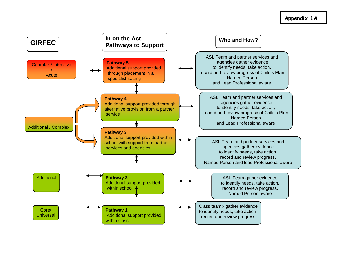#### **Appendix 1A**

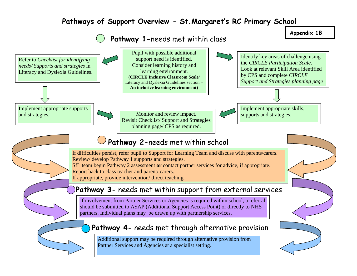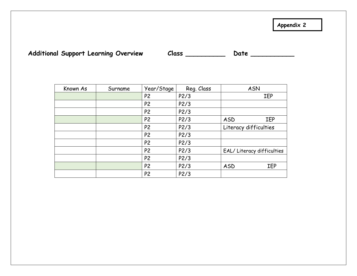# **Additional Support Learning Overview Class \_\_\_\_\_\_\_\_\_\_ Date \_\_\_\_\_\_\_\_\_\_\_**

| Known As | Surname | Year/Stage     | Reg. Class |                       | <b>ASN</b>                |
|----------|---------|----------------|------------|-----------------------|---------------------------|
|          |         | P <sub>2</sub> | P2/3       |                       | <b>IEP</b>                |
|          |         | P <sub>2</sub> | P2/3       |                       |                           |
|          |         | P <sub>2</sub> | P2/3       |                       |                           |
|          |         | P <sub>2</sub> | P2/3       | ASD                   | IEP                       |
|          |         | P <sub>2</sub> | P2/3       | Literacy difficulties |                           |
|          |         | P <sub>2</sub> | P2/3       |                       |                           |
|          |         | P <sub>2</sub> | P2/3       |                       |                           |
|          |         | P <sub>2</sub> | P2/3       |                       | EAL/Literacy difficulties |
|          |         | P <sub>2</sub> | P2/3       |                       |                           |
|          |         | P <sub>2</sub> | P2/3       | ASD                   | IEP                       |
|          |         | P <sub>2</sub> | P2/3       |                       |                           |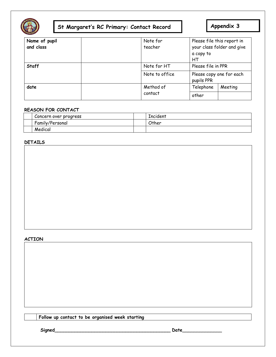

**St Margaret's RC Primary: Contact Record Appendix 3**

| Name of pupil<br>and class | Note for<br>teacher | Please file this report in<br>your class folder and give<br>a copy to |  |  |
|----------------------------|---------------------|-----------------------------------------------------------------------|--|--|
|                            |                     | HT                                                                    |  |  |
| Staff                      | Note for HT         | Please file in PPR                                                    |  |  |
|                            | Note to office      | Please copy one for each<br>pupils PPR                                |  |  |
| date                       | Method of           | Telephone<br>Meeting                                                  |  |  |
|                            | contact             | other                                                                 |  |  |

#### **REASON FOR CONTACT**

| Concern over progress | <b>Incident</b> |
|-----------------------|-----------------|
| Family/Personal       | Other           |
| Medical               |                 |

#### **DETAILS**

#### **ACTION**

**Follow up contact to be organised week starting**

**Signed\_\_\_\_\_\_\_\_\_\_\_\_\_\_\_\_\_\_\_\_\_\_\_\_\_\_\_\_\_\_\_\_\_\_\_\_\_\_\_\_\_ Date**\_\_\_\_\_\_\_\_\_\_\_\_\_\_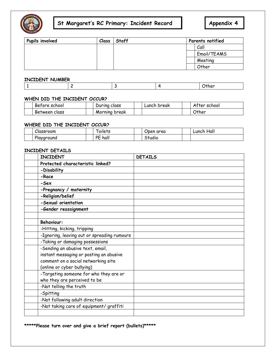

# St Margaret's RC Primary: Incident Record | Appendix 4

| Pupils involved | Class | Staff | <b>Parents notified</b> |
|-----------------|-------|-------|-------------------------|
|                 |       |       | Call                    |
|                 |       |       | Email/TEAMS             |
|                 |       |       | Meeting                 |
|                 |       |       | Other                   |

#### **INCIDENT NUMBER**

|--|--|--|--|

#### **WHEN DID THE INCIDENT OCCUR?**

| Before school | During<br>class | Lunch break | Atter school |
|---------------|-----------------|-------------|--------------|
| Between class | Morning break   |             | Other        |

#### **WHERE DID THE INCIDENT OCCUR?**

| $\sim$<br>Classroom | oilets     | Jpen area    | Hall<br><b>Lunch</b> |
|---------------------|------------|--------------|----------------------|
| Playgrouna          | DE<br>nall | - -<br>tudio |                      |

#### **INCIDENT DETAILS**

| <b>INCIDENT</b>                             | <b>DETAILS</b> |
|---------------------------------------------|----------------|
| Protected characteristic linked?            |                |
| -Disability                                 |                |
| -Race                                       |                |
| -Sex                                        |                |
| -Pregnancy / maternity                      |                |
| -Religion/belief                            |                |
| -Sexual orientation                         |                |
| -Gender reassignment                        |                |
|                                             |                |
| <b>Behaviour:</b>                           |                |
| -Hitting, kicking, tripping                 |                |
| -Ignoring, leaving out or spreading rumours |                |
| -Taking or damaging possessions             |                |
| -Sending an abusive text, email,            |                |
| instant messaging or posting an abusive     |                |
| comment on a social networking site         |                |
| (online or cyber bullying)                  |                |
| -Targeting someone for who they are or      |                |
| who they are perceived to be                |                |
| -Not telling the truth                      |                |
| -Spitting                                   |                |
| -Not following adult direction              |                |
| -Not taking care of equipment/ graffiti     |                |
|                                             |                |

#### **\*\*\*\*\*Please turn over and give a brief report (bullets)\*\*\*\*\***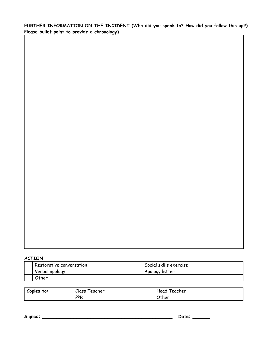**FURTHER INFORMATION ON THE INCIDENT (Who did you speak to? How did you follow this up?) Please bullet point to provide a chronology)**

#### **ACTION**

| Restorative conversation | Social skills exercise |
|--------------------------|------------------------|
| Verbal apology           | Apology letter         |
| Other                    |                        |

| Copies to: | Class<br>eacher |  | .eacher<br>Head |
|------------|-----------------|--|-----------------|
|            | PPR             |  | Other           |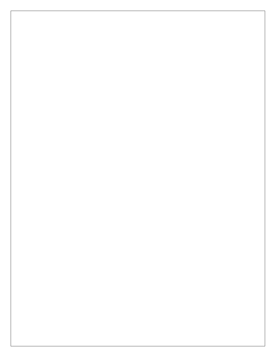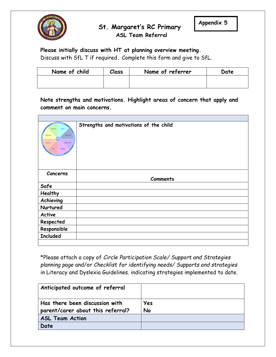

 **St. Margaret's RC Primary ASL Team Referral** 

**Appendix 5**

**Please initially discuss with HT at planning overview meeting.** 

Discuss with SfL T if required**.** Complete this form and give to SfL.

| Name of child | Class | Name of referrer | Date |
|---------------|-------|------------------|------|
|               |       |                  |      |
|               |       |                  |      |

**Note strengths and motivations. Highlight areas of concern that apply and comment on main concerns.**

| Active<br>Nurtured<br>Athleving<br>Respected<br>Destates<br>In the<br>Ready to<br>Healthy<br>Responsible<br>Safe<br>Included | Strengths and motivations of the child |
|------------------------------------------------------------------------------------------------------------------------------|----------------------------------------|
| Concerns                                                                                                                     | <b>Comments</b>                        |
| Safe                                                                                                                         |                                        |
| Healthy                                                                                                                      |                                        |
| Achieving                                                                                                                    |                                        |
| Nurtured                                                                                                                     |                                        |
| Active                                                                                                                       |                                        |
| Respected                                                                                                                    |                                        |
| Responsible                                                                                                                  |                                        |
| <b>Included</b>                                                                                                              |                                        |
|                                                                                                                              |                                        |

\*Please attach a copy of *Circle Participation Scale/ Support and Strategies planning page* and/or *Checklist for identifying needs/ Supports and strategies* in Literacy and Dyslexia Guidelines. indicating strategies implemented to date.

| Anticipated outcome of referral                                     |           |
|---------------------------------------------------------------------|-----------|
| Has there been discussion with<br>parent/carer about this referral? | Yes<br>No |
| <b>ASL Team Action</b>                                              |           |
| Date                                                                |           |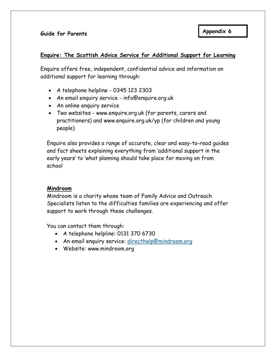#### **Enquire: The Scottish Advice Service for Additional Support for Learning**

Enquire offers free, independent, confidential advice and information on additional support for learning through:

- A telephone helpline 0345 123 2303
- An email enquiry service [info@enquire.org.uk](mailto:info@enquire.org.uk)
- An online enquiry service
- Two websites [www.enquire.org.uk](http://www.enquire.org.uk/) (for parents, carers and practitioners) and [www.enquire.org.uk/yp](http://www.enquire.org.uk/yp) (for children and young people)

Enquire also provides a range of accurate, clear and easy-to-read guides and fact sheets explaining everything from 'additional support in the early years' to 'what planning should take place for moving on from school

#### **Mindroom**

Mindroom is a charity whose team of Family Advice and Outreach Specialists listen to the difficulties families are experiencing and offer support to work through these challenges.

You can contact them through:

- A telephone helpline: 0131 370 6730
- An email enquiry service: [directhelp@mindroom.org](mailto:directhelp@mindroom.org)
- Website: www.mindroom.org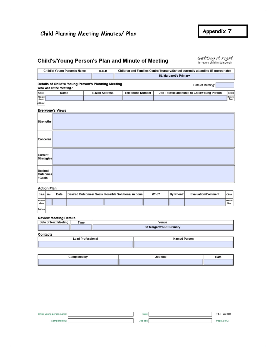# **Child Planning Meeting Minutes/ Plan Appendix 7**

#### Child's/Young Person's Plan and Minute of Meeting

Gett*ing it right*<br>for every child in Edinburgh

|                  | Child's/Young Person's Name                                                   | D.O.B                 | Children and Families Centre/ Nursery/School currently attending (if appropriate) |                  |                                              |               |
|------------------|-------------------------------------------------------------------------------|-----------------------|-----------------------------------------------------------------------------------|------------------|----------------------------------------------|---------------|
|                  |                                                                               |                       | <b>St. Margaret's Primary</b>                                                     |                  |                                              |               |
|                  | Details of Child's/Young Person's Planning Meeting<br>Who was at the meeting? |                       |                                                                                   |                  | Date of Meeting:                             |               |
| Click            | Name                                                                          | <b>E-Mail Address</b> |                                                                                   | Telephone Number | Job Title/Relationship to Child/Young Person | Click         |
| Add row<br>above |                                                                               |                       |                                                                                   |                  |                                              | Remove<br>Row |
| Add row          |                                                                               |                       |                                                                                   |                  |                                              |               |

#### **Everyone's Views**

| <b>Strengths</b>               |  |
|--------------------------------|--|
| Concerns                       |  |
| Current<br>Strategies          |  |
| Desired<br>Outcomes<br>/ Goals |  |

#### **Action Plan**

| <b>Click</b>     | No | Date | Desired Outcomes/ Goals Possible Solutions/ Actions | Who? | By when? | <b>Fyaluation/Comment</b> | <b>Click</b>    |
|------------------|----|------|-----------------------------------------------------|------|----------|---------------------------|-----------------|
| Add row<br>above |    |      |                                                     |      |          |                           | Remove I<br>Row |

#### Add row

#### **Review Meeting Details**

| Date of Next Meeting | Time | Venue                    |  |
|----------------------|------|--------------------------|--|
|                      |      | St Margaret's RC Primary |  |
| $ -$                 |      |                          |  |

#### Contacts

| ---------                |                     |  |  |  |
|--------------------------|---------------------|--|--|--|
| <b>Lead Professional</b> | <b>Named Person</b> |  |  |  |
|                          |                     |  |  |  |

| $\sim$ $\sim$<br>$Cample-$ | Job title | Date |
|----------------------------|-----------|------|
|                            |           |      |

| Child/ young person name: | Date: |  |
|---------------------------|-------|--|
| Comp                      |       |  |

v 1.1 Mar 2011

Page 2 of 2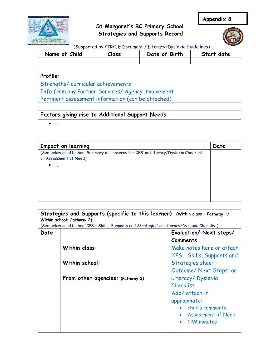

 **St Margaret's RC Primary School Strategies and Supports Record**





(Supported by CIRCLE Document **/** Literacy/Dyslexia Guidelines)

| Name of Child | Class | Date of Birth | Start date |
|---------------|-------|---------------|------------|
|               |       |               |            |

### **Profile:**

Strengths/ curricular achievements

Info from any Partner Services/ Agency involvement

Pertinent assessment information (can be attached)

### **Factors giving rise to Additional Support Needs**

• .

| Impact on learning                                                                                            | Date |
|---------------------------------------------------------------------------------------------------------------|------|
| (See below or attached 'Summary of concerns for CPS' or Literacy/Dyslexia Checklist<br>or Assessment of Need) |      |
| ٠                                                                                                             |      |
|                                                                                                               |      |
|                                                                                                               |      |
|                                                                                                               |      |

|      | Strategies and Supports (specific to this learner) (Within class - Pathway 1/<br>Within school: Pathway 2)<br>(See below or attached 'CPS - Skills, Supports and Strategies' or Literacy/Dyslexia Checklist) |                                                                                                                                      |  |  |
|------|--------------------------------------------------------------------------------------------------------------------------------------------------------------------------------------------------------------|--------------------------------------------------------------------------------------------------------------------------------------|--|--|
| Date |                                                                                                                                                                                                              | Evaluation/ Next steps/                                                                                                              |  |  |
|      |                                                                                                                                                                                                              | <b>Comments</b>                                                                                                                      |  |  |
|      | Within class:                                                                                                                                                                                                | Make notes here or attach<br>'CPS - Skills, Supports and                                                                             |  |  |
|      | Within school:                                                                                                                                                                                               | Strategies sheet -<br>Outcome/ Next Steps" or                                                                                        |  |  |
|      | From other agencies: (Pathway 3)                                                                                                                                                                             | Literacy/Dyslexia<br>Checklist<br>Add/ attach if<br>appropriate:<br>• child's comments<br>• Assessment of Need<br><b>CPM</b> minutes |  |  |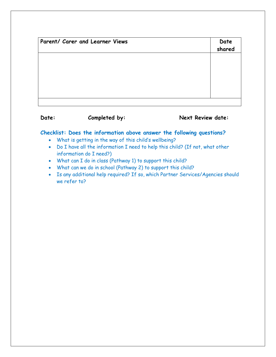| Parent/ Carer and Learner Views | Date<br>shared |
|---------------------------------|----------------|
|                                 |                |
|                                 |                |
|                                 |                |
|                                 |                |

#### Date: Completed by: Next Review date:

#### **Checklist: Does the information above answer the following questions?**

- What is getting in the way of this child's wellbeing?
- Do I have all the information I need to help this child? (If not, what other information do I need?)
- What can I do in class (Pathway 1) to support this child?
- What can we do in school (Pathway 2) to support this child?
- Is any additional help required? If so, which Partner Services/Agencies should we refer to?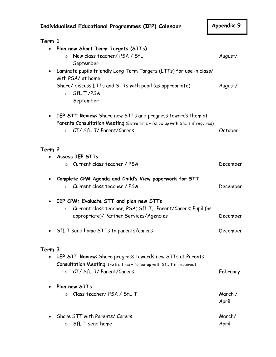|           | <b>Individualised Educational Programmes (IEP) Calendar</b>                  | Appendix 9 |
|-----------|------------------------------------------------------------------------------|------------|
| Term 1    |                                                                              |            |
| $\bullet$ | Plan new Short Term Targets (STTs)                                           |            |
|           | New class teacher/PSA/SfL<br>$\circ$                                         | August/    |
|           | September                                                                    |            |
| $\bullet$ | Laminate pupils friendly Long Term Targets (LTTs) for use in class/          |            |
|           | with PSA/ at home                                                            |            |
|           | Share/ discuss LTTs and STTs with pupil (as appropriate)                     | August/    |
|           | ○ SfL T /PSA                                                                 |            |
|           | September                                                                    |            |
| $\bullet$ | IEP STT Review: Share new STTs and progress towards them at                  |            |
|           | Parents Consultation Meeting (Extra time + follow up with SfL T if required) |            |
|           | ○ CT/ SfL T/ Parent/Carers                                                   | October    |
|           |                                                                              |            |
| Term 2    |                                                                              |            |
|           | <b>Assess IEP STTs</b>                                                       |            |
|           | ○ Current class teacher / PSA                                                | December   |
|           |                                                                              |            |
| ٠         | Complete CPM Agenda and Child's View paperwork for STT                       |            |
|           | Current class teacher / PSA<br>$\circ$                                       | December   |
| ٠         | IEP CPM: Evaluate STT and plan new STTs                                      |            |
|           | Current class teacher; PSA; SfL T; Parent/Carers; Pupil (as<br>$\circ$       |            |
|           | appropriate)/ Partner Services/Agencies                                      | December   |
|           |                                                                              |            |
|           | • SfL T send home STTs to parents/carers                                     | December   |
|           |                                                                              |            |
| Term 3    |                                                                              |            |
| $\bullet$ | IEP STT Review: Share progress towards new STTs at Parents                   |            |
|           | Consultation Meeting. (Extra time + follow up with SfL T if required)        |            |
|           | ○ CT/ SfL T/ Parent/Carers                                                   | February   |
|           |                                                                              |            |
|           | Plan new STTs                                                                |            |
|           | ○ Class teacher/PSA/SfL T                                                    | March /    |
|           |                                                                              | April      |
|           |                                                                              |            |
|           | Share STT with Parents/ Carers                                               | March/     |
|           | $\circ$ SfL T send home                                                      | April      |
|           |                                                                              |            |